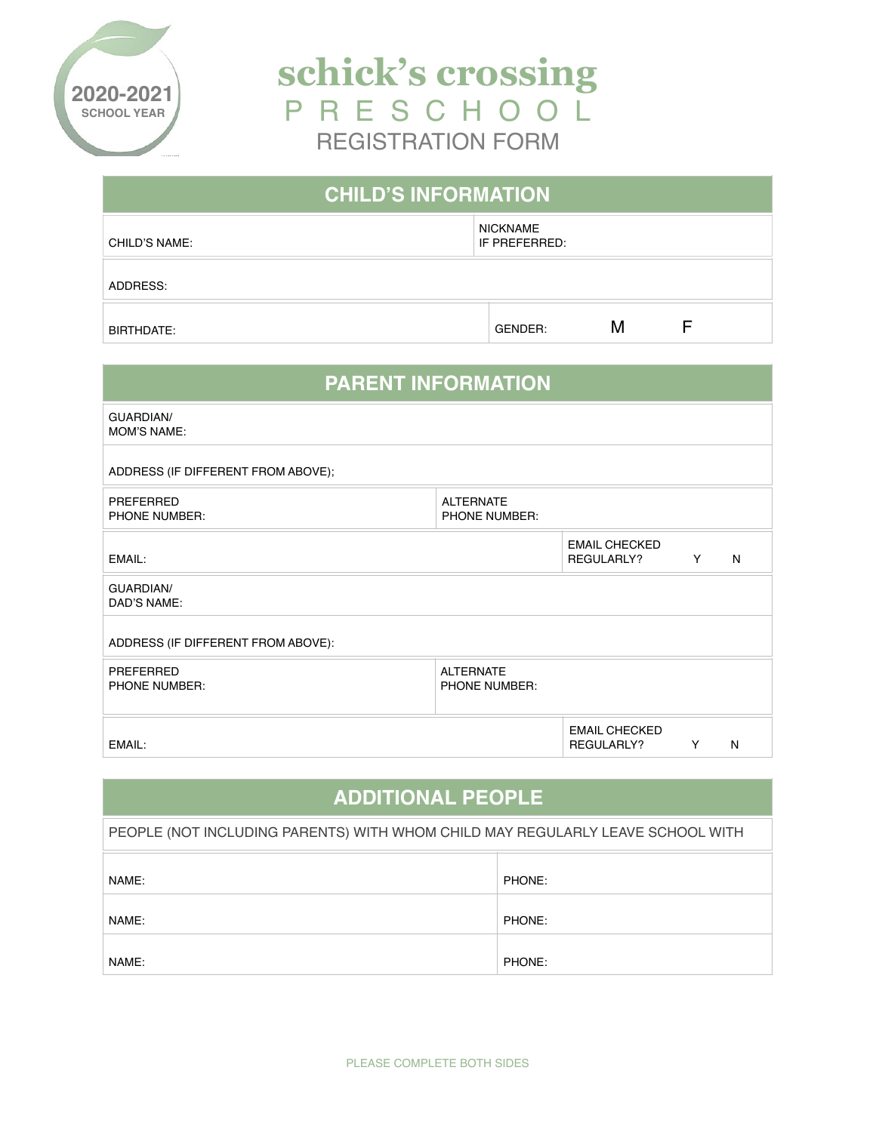

**schick's crossing**  P R E S C H O O L REGISTRATION FORM

| <b>CHILD'S INFORMATION</b> |                           |   |  |  |
|----------------------------|---------------------------|---|--|--|
| CHILD'S NAME:              | NICKNAME<br>IF PREFERRED: |   |  |  |
| ADDRESS:                   |                           |   |  |  |
| BIRTHDATE:                 | GENDER:                   | М |  |  |

| <b>PARENT INFORMATION</b>              |                                   |                                    |   |   |
|----------------------------------------|-----------------------------------|------------------------------------|---|---|
| <b>GUARDIAN/</b><br><b>MOM'S NAME:</b> |                                   |                                    |   |   |
| ADDRESS (IF DIFFERENT FROM ABOVE);     |                                   |                                    |   |   |
| PREFERRED<br>PHONE NUMBER:             | <b>ALTERNATE</b><br>PHONE NUMBER: |                                    |   |   |
| EMAIL:                                 |                                   | <b>EMAIL CHECKED</b><br>REGULARLY? | Y | N |
| GUARDIAN/<br>DAD'S NAME:               |                                   |                                    |   |   |
| ADDRESS (IF DIFFERENT FROM ABOVE):     |                                   |                                    |   |   |
| PREFERRED<br><b>PHONE NUMBER:</b>      | <b>ALTERNATE</b><br>PHONE NUMBER: |                                    |   |   |
| EMAIL:                                 |                                   | <b>EMAIL CHECKED</b><br>REGULARLY? | Y | N |

| <b>ADDITIONAL PEOPLE</b>                                                       |        |  |
|--------------------------------------------------------------------------------|--------|--|
| PEOPLE (NOT INCLUDING PARENTS) WITH WHOM CHILD MAY REGULARLY LEAVE SCHOOL WITH |        |  |
| NAME:                                                                          | PHONE: |  |
| NAME:                                                                          | PHONE: |  |
| NAME:                                                                          | PHONE: |  |